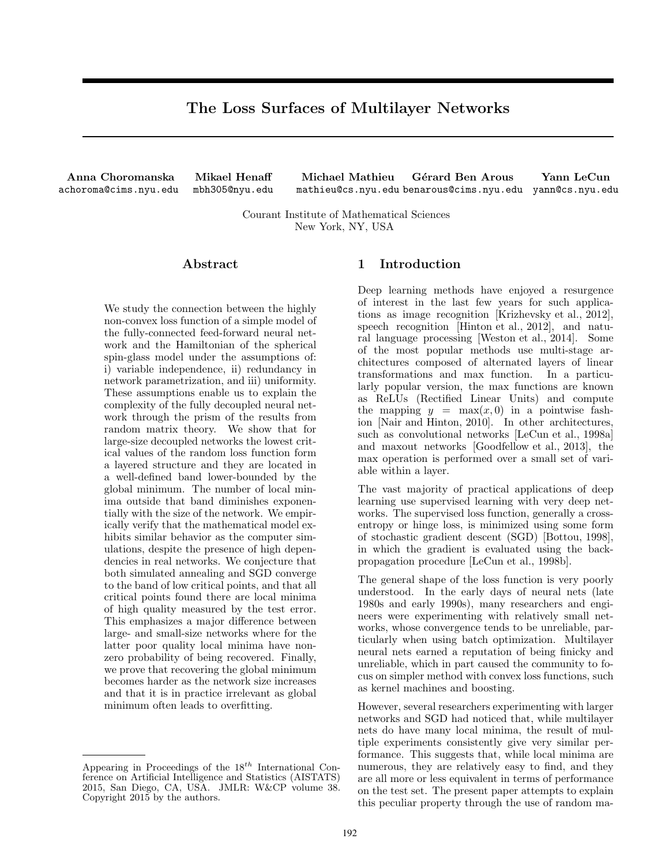# The Loss Surfaces of Multilayer Networks

Anna Choromanska achoroma@cims.nyu.edu

Mikael Henaff mbh305@nyu.edu

Michael Mathieu mathieu@cs.nyu.edu benarous@cims.nyu.edu yann@cs.nyu.edu Gérard Ben Arous Yann LeCun

Courant Institute of Mathematical Sciences New York, NY, USA

# Abstract

We study the connection between the highly non-convex loss function of a simple model of the fully-connected feed-forward neural network and the Hamiltonian of the spherical spin-glass model under the assumptions of: i) variable independence, ii) redundancy in network parametrization, and iii) uniformity. These assumptions enable us to explain the complexity of the fully decoupled neural network through the prism of the results from random matrix theory. We show that for large-size decoupled networks the lowest critical values of the random loss function form a layered structure and they are located in a well-defined band lower-bounded by the global minimum. The number of local minima outside that band diminishes exponentially with the size of the network. We empirically verify that the mathematical model exhibits similar behavior as the computer simulations, despite the presence of high dependencies in real networks. We conjecture that both simulated annealing and SGD converge to the band of low critical points, and that all critical points found there are local minima of high quality measured by the test error. This emphasizes a major difference between large- and small-size networks where for the latter poor quality local minima have nonzero probability of being recovered. Finally, we prove that recovering the global minimum becomes harder as the network size increases and that it is in practice irrelevant as global minimum often leads to overfitting.

# 1 Introduction

Deep learning methods have enjoyed a resurgence of interest in the last few years for such applications as image recognition [Krizhevsky et al., 2012], speech recognition [Hinton et al., 2012], and natural language processing [Weston et al., 2014]. Some of the most popular methods use multi-stage architectures composed of alternated layers of linear transformations and max function. In a particularly popular version, the max functions are known as ReLUs (Rectified Linear Units) and compute the mapping  $y = \max(x, 0)$  in a pointwise fashion [Nair and Hinton, 2010]. In other architectures, such as convolutional networks [LeCun et al., 1998a] and maxout networks [Goodfellow et al., 2013], the max operation is performed over a small set of variable within a layer.

The vast majority of practical applications of deep learning use supervised learning with very deep networks. The supervised loss function, generally a crossentropy or hinge loss, is minimized using some form of stochastic gradient descent (SGD) [Bottou, 1998], in which the gradient is evaluated using the backpropagation procedure [LeCun et al., 1998b].

The general shape of the loss function is very poorly understood. In the early days of neural nets (late 1980s and early 1990s), many researchers and engineers were experimenting with relatively small networks, whose convergence tends to be unreliable, particularly when using batch optimization. Multilayer neural nets earned a reputation of being finicky and unreliable, which in part caused the community to focus on simpler method with convex loss functions, such as kernel machines and boosting.

However, several researchers experimenting with larger networks and SGD had noticed that, while multilayer nets do have many local minima, the result of multiple experiments consistently give very similar performance. This suggests that, while local minima are numerous, they are relatively easy to find, and they are all more or less equivalent in terms of performance on the test set. The present paper attempts to explain this peculiar property through the use of random ma-

Appearing in Proceedings of the  $18^{th}$  International Conference on Artificial Intelligence and Statistics (AISTATS) 2015, San Diego, CA, USA. JMLR: W&CP volume 38. Copyright 2015 by the authors.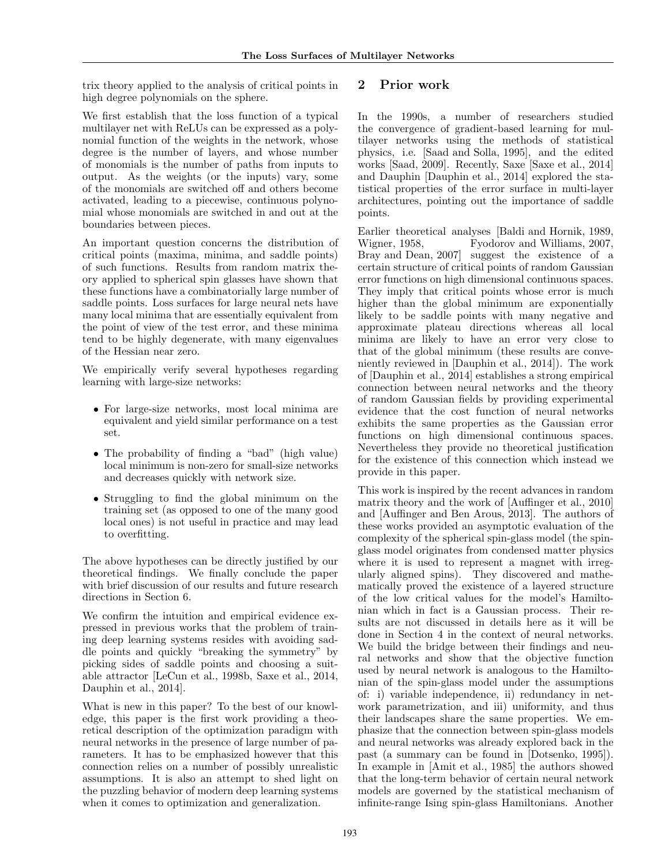trix theory applied to the analysis of critical points in high degree polynomials on the sphere.

We first establish that the loss function of a typical multilayer net with ReLUs can be expressed as a polynomial function of the weights in the network, whose degree is the number of layers, and whose number of monomials is the number of paths from inputs to output. As the weights (or the inputs) vary, some of the monomials are switched off and others become activated, leading to a piecewise, continuous polynomial whose monomials are switched in and out at the boundaries between pieces.

An important question concerns the distribution of critical points (maxima, minima, and saddle points) of such functions. Results from random matrix theory applied to spherical spin glasses have shown that these functions have a combinatorially large number of saddle points. Loss surfaces for large neural nets have many local minima that are essentially equivalent from the point of view of the test error, and these minima tend to be highly degenerate, with many eigenvalues of the Hessian near zero.

We empirically verify several hypotheses regarding learning with large-size networks:

- For large-size networks, most local minima are equivalent and yield similar performance on a test set.
- The probability of finding a "bad" (high value) local minimum is non-zero for small-size networks and decreases quickly with network size.
- Struggling to find the global minimum on the training set (as opposed to one of the many good local ones) is not useful in practice and may lead to overfitting.

The above hypotheses can be directly justified by our theoretical findings. We finally conclude the paper with brief discussion of our results and future research directions in Section 6.

We confirm the intuition and empirical evidence expressed in previous works that the problem of training deep learning systems resides with avoiding saddle points and quickly "breaking the symmetry" by picking sides of saddle points and choosing a suitable attractor [LeCun et al., 1998b, Saxe et al., 2014, Dauphin et al., 2014].

What is new in this paper? To the best of our knowledge, this paper is the first work providing a theoretical description of the optimization paradigm with neural networks in the presence of large number of parameters. It has to be emphasized however that this connection relies on a number of possibly unrealistic assumptions. It is also an attempt to shed light on the puzzling behavior of modern deep learning systems when it comes to optimization and generalization.

# 2 Prior work

In the 1990s, a number of researchers studied the convergence of gradient-based learning for multilayer networks using the methods of statistical physics, i.e. [Saad and Solla, 1995], and the edited works [Saad, 2009]. Recently, Saxe [Saxe et al., 2014] and Dauphin [Dauphin et al., 2014] explored the statistical properties of the error surface in multi-layer architectures, pointing out the importance of saddle points.

Earlier theoretical analyses [Baldi and Hornik, 1989, Wigner, 1958, Fyodorov and Williams, 2007, Bray and Dean, 2007] suggest the existence of a certain structure of critical points of random Gaussian error functions on high dimensional continuous spaces. They imply that critical points whose error is much higher than the global minimum are exponentially likely to be saddle points with many negative and approximate plateau directions whereas all local minima are likely to have an error very close to that of the global minimum (these results are conveniently reviewed in [Dauphin et al., 2014]). The work of [Dauphin et al., 2014] establishes a strong empirical connection between neural networks and the theory of random Gaussian fields by providing experimental evidence that the cost function of neural networks exhibits the same properties as the Gaussian error functions on high dimensional continuous spaces. Nevertheless they provide no theoretical justification for the existence of this connection which instead we provide in this paper.

This work is inspired by the recent advances in random matrix theory and the work of [Auffinger et al., 2010] and [Auffinger and Ben Arous, 2013]. The authors of these works provided an asymptotic evaluation of the complexity of the spherical spin-glass model (the spinglass model originates from condensed matter physics where it is used to represent a magnet with irregularly aligned spins). They discovered and mathematically proved the existence of a layered structure of the low critical values for the model's Hamiltonian which in fact is a Gaussian process. Their results are not discussed in details here as it will be done in Section 4 in the context of neural networks. We build the bridge between their findings and neural networks and show that the objective function used by neural network is analogous to the Hamiltonian of the spin-glass model under the assumptions of: i) variable independence, ii) redundancy in network parametrization, and iii) uniformity, and thus their landscapes share the same properties. We emphasize that the connection between spin-glass models and neural networks was already explored back in the past (a summary can be found in [Dotsenko, 1995]). In example in [Amit et al., 1985] the authors showed that the long-term behavior of certain neural network models are governed by the statistical mechanism of infinite-range Ising spin-glass Hamiltonians. Another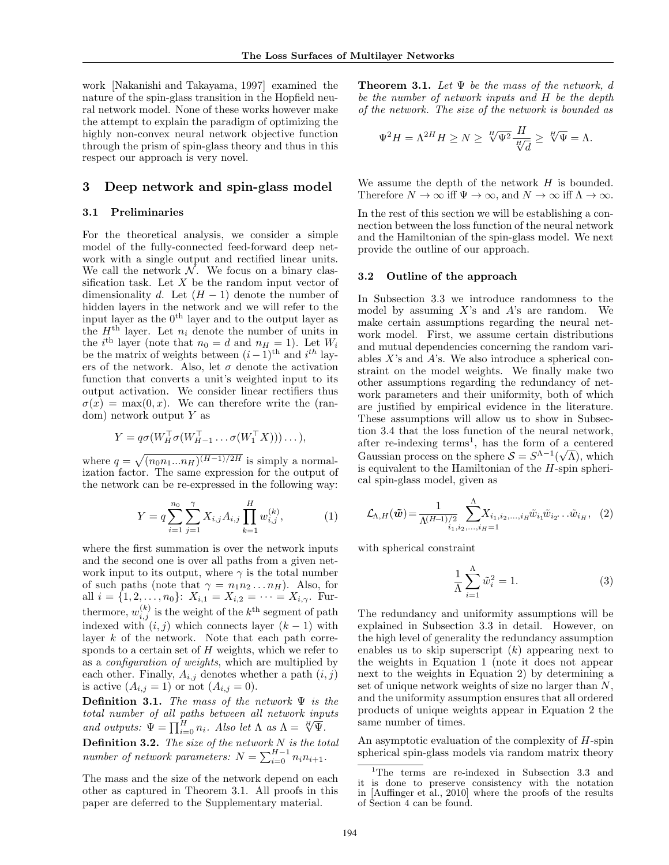work [Nakanishi and Takayama, 1997] examined the nature of the spin-glass transition in the Hopfield neural network model. None of these works however make the attempt to explain the paradigm of optimizing the highly non-convex neural network objective function through the prism of spin-glass theory and thus in this respect our approach is very novel.

### 3 Deep network and spin-glass model

#### 3.1 Preliminaries

For the theoretical analysis, we consider a simple model of the fully-connected feed-forward deep network with a single output and rectified linear units. We call the network  $\mathcal N$ . We focus on a binary classification task. Let  $X$  be the random input vector of dimensionality d. Let  $(H - 1)$  denote the number of hidden layers in the network and we will refer to the input layer as the  $0<sup>th</sup>$  layer and to the output layer as the  $H<sup>th</sup>$  layer. Let  $n_i$  denote the number of units in the *i*<sup>th</sup> layer (note that  $n_0 = d$  and  $n_H = 1$ ). Let  $W_i$ be the matrix of weights between  $(i-1)$ <sup>th</sup> and  $i<sup>th</sup>$  layers of the network. Also, let  $\sigma$  denote the activation function that converts a unit's weighted input to its output activation. We consider linear rectifiers thus  $\sigma(x) = \max(0, x)$ . We can therefore write the (random) network output  $Y$  as

$$
Y = q\sigma(W_H^{\top}\sigma(W_{H-1}^{\top}\ldots\sigma(W_1^{\top}X)))\ldots),
$$

where  $q = \sqrt{(n_0 n_1 ... n_H)^{(H-1)/2H}}$  is simply a normalization factor. The same expression for the output of the network can be re-expressed in the following way:

$$
Y = q \sum_{i=1}^{n_0} \sum_{j=1}^{\gamma} X_{i,j} A_{i,j} \prod_{k=1}^{H} w_{i,j}^{(k)},
$$
 (1)

where the first summation is over the network inputs and the second one is over all paths from a given network input to its output, where  $\gamma$  is the total number of such paths (note that  $\gamma = n_1 n_2 ... n_H$ ). Also, for all  $i = \{1, 2, \ldots, n_0\}$ :  $X_{i,1} = X_{i,2} = \cdots = X_{i,\gamma}$ . Furthermore,  $w_{i,j}^{(k)}$  is the weight of the  $k^{\text{th}}$  segment of path indexed with  $(i, j)$  which connects layer  $(k - 1)$  with layer  $k$  of the network. Note that each path corresponds to a certain set of  $H$  weights, which we refer to as a configuration of weights, which are multiplied by each other. Finally,  $A_{i,j}$  denotes whether a path  $(i, j)$ is active  $(A_{i,j}=1)$  or not  $(A_{i,j}=0)$ .

**Definition 3.1.** The mass of the network  $\Psi$  is the total number of all paths between all network inputs *colar number by all pains between all network inperiod outputs:*  $\Psi = \prod_{i=0}^{H} n_i$ . Also let  $\Lambda$  as  $\Lambda = \sqrt[H]{\Psi}$ .

**Definition 3.2.** The size of the network  $N$  is the total number of network parameters:  $N = \sum_{i=0}^{H-1} n_i n_{i+1}$ .

The mass and the size of the network depend on each other as captured in Theorem 3.1. All proofs in this paper are deferred to the Supplementary material.

**Theorem 3.1.** Let  $\Psi$  be the mass of the network, d be the number of network inputs and H be the depth of the network. The size of the network is bounded as

$$
\Psi^2 H = \Lambda^{2H} H \geq N \geq \sqrt[H]{\Psi^2} \frac{H}{\frac{H}{\sqrt[r]{d}}} \geq \sqrt[H]{\Psi} = \Lambda.
$$

We assume the depth of the network  $H$  is bounded. Therefore  $N \to \infty$  iff  $\Psi \to \infty$ , and  $N \to \infty$  iff  $\Lambda \to \infty$ .

In the rest of this section we will be establishing a connection between the loss function of the neural network and the Hamiltonian of the spin-glass model. We next provide the outline of our approach.

#### 3.2 Outline of the approach

In Subsection 3.3 we introduce randomness to the model by assuming  $X$ 's and  $A$ 's are random. We make certain assumptions regarding the neural network model. First, we assume certain distributions and mutual dependencies concerning the random variables  $X$ 's and  $A$ 's. We also introduce a spherical constraint on the model weights. We finally make two other assumptions regarding the redundancy of network parameters and their uniformity, both of which are justified by empirical evidence in the literature. These assumptions will allow us to show in Subsection 3.4 that the loss function of the neural network, after re-indexing terms<sup>1</sup>, has the form of a centered Gaussian process on the sphere  $S = S^{\Lambda-1}(\sqrt{\Lambda})$ , which is equivalent to the Hamiltonian of the  $H$ -spin spherical spin-glass model, given as

$$
\mathcal{L}_{\Lambda,H}(\tilde{\mathbf{w}}) = \frac{1}{\Lambda^{(H-1)/2} \sum_{i_1, i_2, \dots, i_H=1}^{\Lambda} X_{i_1, i_2, \dots, i_H} \tilde{w}_{i_1} \tilde{w}_{i_2} \dots \tilde{w}_{i_H}, \quad (2)
$$

with spherical constraint

$$
\frac{1}{\Lambda} \sum_{i=1}^{\Lambda} \tilde{w}_i^2 = 1.
$$
\n(3)

The redundancy and uniformity assumptions will be explained in Subsection 3.3 in detail. However, on the high level of generality the redundancy assumption enables us to skip superscript  $(k)$  appearing next to the weights in Equation 1 (note it does not appear next to the weights in Equation 2) by determining a set of unique network weights of size no larger than  $N$ , and the uniformity assumption ensures that all ordered products of unique weights appear in Equation 2 the same number of times.

An asymptotic evaluation of the complexity of H-spin spherical spin-glass models via random matrix theory

<sup>&</sup>lt;sup>1</sup>The terms are re-indexed in Subsection 3.3 and it is done to preserve consistency with the notation in [Auffinger et al., 2010] where the proofs of the results of Section 4 can be found.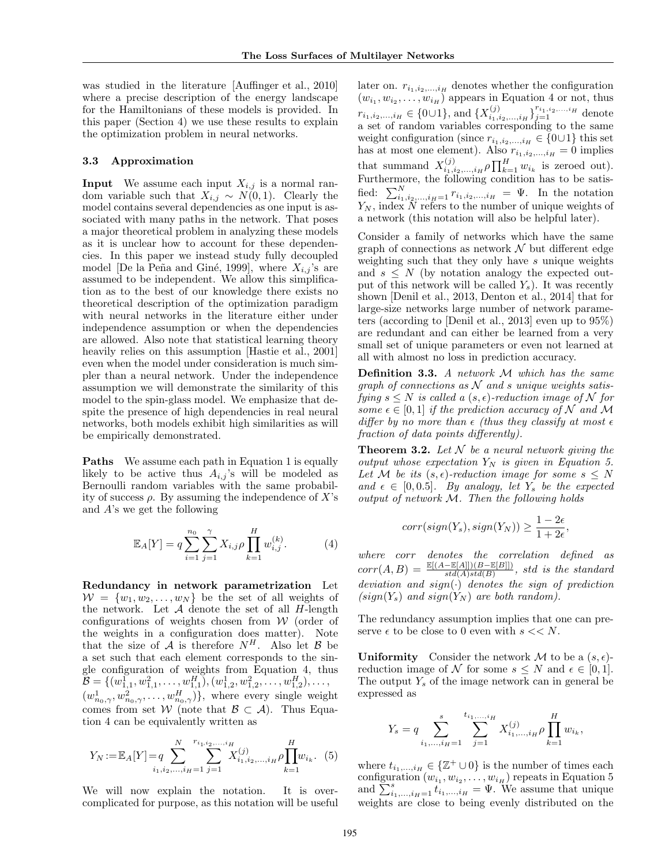was studied in the literature [Auffinger et al., 2010] where a precise description of the energy landscape for the Hamiltonians of these models is provided. In this paper (Section 4) we use these results to explain the optimization problem in neural networks.

#### 3.3 Approximation

**Input** We assume each input  $X_{i,j}$  is a normal random variable such that  $X_{i,j} \sim N(0,1)$ . Clearly the model contains several dependencies as one input is associated with many paths in the network. That poses a major theoretical problem in analyzing these models as it is unclear how to account for these dependencies. In this paper we instead study fully decoupled model [De la Peña and Giné, 1999], where  $X_{i,j}$ 's are assumed to be independent. We allow this simplification as to the best of our knowledge there exists no theoretical description of the optimization paradigm with neural networks in the literature either under independence assumption or when the dependencies are allowed. Also note that statistical learning theory heavily relies on this assumption [Hastie et al., 2001] even when the model under consideration is much simpler than a neural network. Under the independence assumption we will demonstrate the similarity of this model to the spin-glass model. We emphasize that despite the presence of high dependencies in real neural networks, both models exhibit high similarities as will be empirically demonstrated.

Paths We assume each path in Equation 1 is equally likely to be active thus  $A_{i,j}$ 's will be modeled as Bernoulli random variables with the same probability of success  $\rho$ . By assuming the independence of X's and A's we get the following

$$
\mathbb{E}_A[Y] = q \sum_{i=1}^{n_0} \sum_{j=1}^{\gamma} X_{i,j} \rho \prod_{k=1}^H w_{i,j}^{(k)}.
$$
 (4)

Redundancy in network parametrization Let  $W = \{w_1, w_2, \ldots, w_N\}$  be the set of all weights of the network. Let  $A$  denote the set of all  $H$ -length configurations of weights chosen from  $W$  (order of the weights in a configuration does matter). Note that the size of  $A$  is therefore  $N^H$ . Also let  $B$  be a set such that each element corresponds to the single configuration of weights from Equation 4, thus  $\mathcal{B} = \{ (w_{1,1}^1, w_{1,1}^2, \ldots, w_{1,1}^H), (w_{1,2}^1, w_{1,2}^2, \ldots, w_{1,2}^H), \ldots,$  $(w_{n_0,\gamma}^1, w_{n_0,\gamma}^2, \ldots, w_{n_0,\gamma}^H)$ , where every single weight comes from set W (note that  $\mathcal{B} \subset \mathcal{A}$ ). Thus Equation 4 can be equivalently written as

$$
Y_N := \mathbb{E}_A[Y] = q \sum_{i_1, i_2, \dots, i_H = 1}^{N} \sum_{j=1}^{r_{i_1, i_2, \dots, i_H}} X_{i_1, i_2, \dots, i_H}^{(j)} \rho \prod_{k=1}^{H} w_{i_k}.
$$
 (5)

We will now explain the notation. It is overcomplicated for purpose, as this notation will be useful

later on.  $r_{i_1,i_2,...,i_H}$  denotes whether the configuration  $(w_{i_1}, w_{i_2}, \ldots, w_{i_H})$  appears in Equation 4 or not, thus  $r_{i_1,i_2,...,i_H} \in \{0\cup 1\}$ , and  $\{X_{i_1,i_2,...,i_H}^{(j)}\}_{j=1}^{r_{i_1,i_2,...,i_H}}$  denote a set of random variables corresponding to the same weight configuration (since  $r_{i_1,i_2,...,i_H} \in \{0\cup 1\}$  this set has at most one element). Also  $r_{i_1,i_2,...,i_H} = 0$  implies that summand  $X_{i_1,i_2,\dots,i_H}^{(j)} \rho \prod_{k=1}^H w_{i_k}$  is zeroed out). Furthermore, the following condition has to be satisfied:  $\sum_{i_1,i_2,\dots,i_H=1}^N r_{i_1,i_2,\dots,i_H} = \Psi$ . In the notation  $Y_N$ , index N refers to the number of unique weights of a network (this notation will also be helpful later).

Consider a family of networks which have the same graph of connections as network  $\mathcal N$  but different edge weighting such that they only have s unique weights and  $s \leq N$  (by notation analogy the expected output of this network will be called  $Y_s$ ). It was recently shown [Denil et al., 2013, Denton et al., 2014] that for large-size networks large number of network parameters (according to [Denil et al., 2013] even up to 95%) are redundant and can either be learned from a very small set of unique parameters or even not learned at all with almost no loss in prediction accuracy.

Definition 3.3. A network M which has the same graph of connections as  $N$  and s unique weights satisfying  $s \leq N$  is called a  $(s, \epsilon)$ -reduction image of N for some  $\epsilon \in [0,1]$  if the prediction accuracy of N and M differ by no more than  $\epsilon$  (thus they classify at most  $\epsilon$ fraction of data points differently).

**Theorem 3.2.** Let  $N$  be a neural network giving the output whose expectation  $Y_N$  is given in Equation 5. Let M be its  $(s, \epsilon)$ -reduction image for some  $s \leq N$ and  $\epsilon \in [0, 0.5]$ . By analogy, let Y<sub>s</sub> be the expected output of network M. Then the following holds

$$
corr(sign(Ys), sign(YN)) \ge \frac{1 - 2\epsilon}{1 + 2\epsilon},
$$

where corr denotes the correlation defined as  $corr(A, B) = \frac{\mathbb{E}[(A - \mathbb{E}[A]])(B - \mathbb{E}[B]])}{std(A)std(B)}, \text{ std is the standard}$ deviation and  $sign(\cdot)$  denotes the sign of prediction  $(sign(Y<sub>s</sub>)$  and  $sign(Y<sub>N</sub>)$  are both random).

The redundancy assumption implies that one can preserve  $\epsilon$  to be close to 0 even with  $s \ll N$ .

**Uniformity** Consider the network M to be a  $(s, \epsilon)$ reduction image of N for some  $s \leq N$  and  $\epsilon \in [0, 1]$ . The output  $Y_s$  of the image network can in general be expressed as

$$
Y_s = q \sum_{i_1, ..., i_H=1}^s \sum_{j=1}^{t_{i_1, ..., i_H}} X_{i_1, ..., i_H}^{(j)} \rho \prod_{k=1}^H w_{i_k},
$$

where  $t_{i_1,\dots,i_H} \in {\mathbb{Z}^+\cup 0}$  is the number of times each configuration  $(w_{i_1}, w_{i_2}, \ldots, w_{i_H})$  repeats in Equation 5 and  $\sum_{i_1,\dots,i_H=1}^{s} t_{i_1,\dots,i_H} = \Psi$ . We assume that unique weights are close to being evenly distributed on the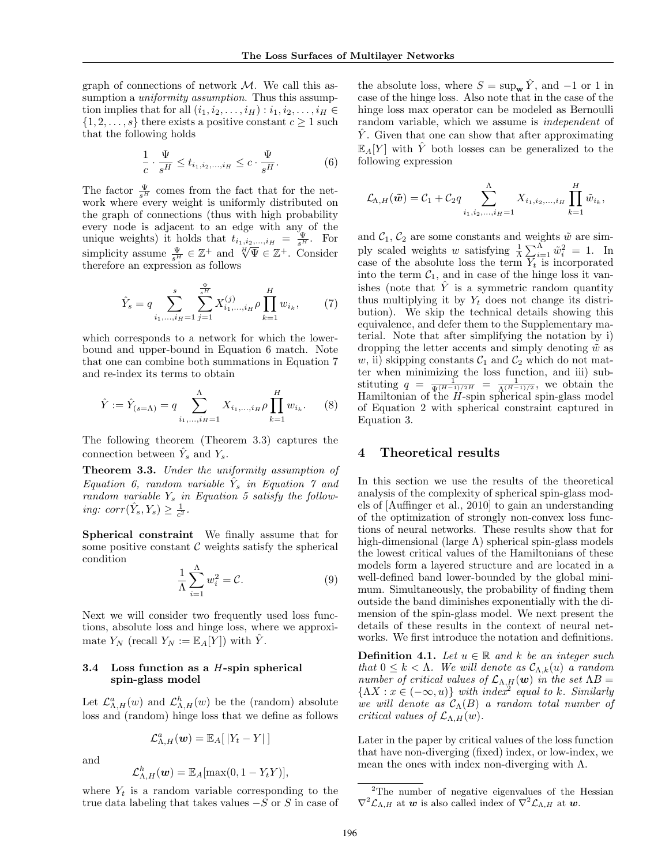graph of connections of network  $M$ . We call this assumption a *uniformity assumption*. Thus this assumption implies that for all  $(i_1, i_2, \ldots, i_H) : i_1, i_2, \ldots, i_H \in$  $\{1, 2, \ldots, s\}$  there exists a positive constant  $c \geq 1$  such that the following holds

$$
\frac{1}{c} \cdot \frac{\Psi}{s^H} \le t_{i_1, i_2, \dots, i_H} \le c \cdot \frac{\Psi}{s^H}.
$$
 (6)

The factor  $\frac{\Psi}{s^H}$  comes from the fact that for the network where every weight is uniformly distributed on the graph of connections (thus with high probability every node is adjacent to an edge with any of the unique weights) it holds that  $t_{i_1,i_2,\dots,i_H} = \frac{\Psi}{s^H}$ . For simplicity assume  $\frac{\Psi}{s^H} \in \mathbb{Z}^+$  and  $\frac{H}{s^H} \Psi \in \mathbb{Z}^+$ . Consider therefore an expression as follows

$$
\hat{Y}_s = q \sum_{i_1, \dots, i_H = 1}^s \sum_{j=1}^{\frac{\Psi}{s^H}} X_{i_1, \dots, i_H}^{(j)} \rho \prod_{k=1}^H w_{i_k}, \tag{7}
$$

which corresponds to a network for which the lowerbound and upper-bound in Equation 6 match. Note that one can combine both summations in Equation 7 and re-index its terms to obtain

$$
\hat{Y} := \hat{Y}_{(s=\Lambda)} = q \sum_{i_1, \dots, i_H = 1}^{\Lambda} X_{i_1, \dots, i_H} \rho \prod_{k=1}^{H} w_{i_k}.
$$
 (8)

The following theorem (Theorem 3.3) captures the connection between  $\hat{Y}_s$  and  $Y_s$ .

Theorem 3.3. Under the uniformity assumption of  $Equation 6, random variable \hat{Y}_s$  in Equation  $\gamma$  and random variable  $Y_s$  in Equation 5 satisfy the following:  $corr(\hat{Y}_s, Y_s) \geq \frac{1}{c^2}$ .

Spherical constraint We finally assume that for some positive constant  $\mathcal C$  weights satisfy the spherical condition

$$
\frac{1}{\Lambda} \sum_{i=1}^{\Lambda} w_i^2 = \mathcal{C}.
$$
 (9)

Next we will consider two frequently used loss functions, absolute loss and hinge loss, where we approximate  $Y_N$  (recall  $Y_N := \mathbb{E}_A[Y]$ ) with  $\hat{Y}$ .

### 3.4 Loss function as a  $H$ -spin spherical spin-glass model

Let  $\mathcal{L}_{\Lambda,H}^a(w)$  and  $\mathcal{L}_{\Lambda,H}^h(w)$  be the (random) absolute loss and (random) hinge loss that we define as follows

$$
\mathcal{L}_{\Lambda,H}^a(\boldsymbol{w}) = \mathbb{E}_A[|Y_t - Y|]
$$

and

$$
\mathcal{L}_{\Lambda,H}^h(\boldsymbol{w}) = \mathbb{E}_A[\max(0, 1 - Y_t Y)],
$$

where  $Y_t$  is a random variable corresponding to the true data labeling that takes values  $-\overline{S}$  or S in case of the absolute loss, where  $S = \sup_{\mathbf{w}} \hat{Y}$ , and  $-1$  or 1 in case of the hinge loss. Also note that in the case of the hinge loss max operator can be modeled as Bernoulli random variable, which we assume is independent of Y. Given that one can show that after approximating  $\mathbb{E}_A[Y]$  with Y both losses can be generalized to the following expression

$$
\mathcal{L}_{\Lambda,H}(\tilde{\mathbf{w}}) = \mathcal{C}_1 + \mathcal{C}_2 q \sum_{i_1,i_2,...,i_H=1}^{\Lambda} X_{i_1,i_2,...,i_H} \prod_{k=1}^{H} \tilde{w}_{i_k},
$$

and  $C_1$ ,  $C_2$  are some constants and weights  $\tilde{w}$  are simply scaled weights w satisfying  $\frac{1}{\Lambda} \sum_{i=1}^{\Lambda} \tilde{w}_i^2 = 1$ . In case of the absolute loss the term  $Y_t$  is incorporated into the term  $C_1$ , and in case of the hinge loss it vanishes (note that  $\hat{Y}$  is a symmetric random quantity thus multiplying it by  $Y_t$  does not change its distribution). We skip the technical details showing this equivalence, and defer them to the Supplementary material. Note that after simplifying the notation by i) dropping the letter accents and simply denoting  $\tilde{w}$  as w, ii) skipping constants  $C_1$  and  $C_2$  which do not matter when minimizing the loss function, and iii) substituting  $q = \frac{1}{\sqrt{H-1/2H}} = \frac{1}{\sqrt{H-1/2}}$ , we obtain the Hamiltonian of the H-spin spherical spin-glass model of Equation 2 with spherical constraint captured in Equation 3.

## 4 Theoretical results

In this section we use the results of the theoretical analysis of the complexity of spherical spin-glass models of [Auffinger et al., 2010] to gain an understanding of the optimization of strongly non-convex loss functions of neural networks. These results show that for high-dimensional (large  $\Lambda$ ) spherical spin-glass models the lowest critical values of the Hamiltonians of these models form a layered structure and are located in a well-defined band lower-bounded by the global minimum. Simultaneously, the probability of finding them outside the band diminishes exponentially with the dimension of the spin-glass model. We next present the details of these results in the context of neural networks. We first introduce the notation and definitions.

**Definition 4.1.** Let  $u \in \mathbb{R}$  and k be an integer such that  $0 \leq k < \Lambda$ . We will denote as  $\mathcal{C}_{\Lambda,k}(u)$  a random number of critical values of  $\mathcal{L}_{\Lambda,H}(\boldsymbol{w})$  in the set  $\Lambda B =$  $\{\Lambda X : x \in (-\infty, u)\}\$  with index<sup>2</sup> equal to k. Similarly we will denote as  $\mathcal{C}_{\Lambda}(B)$  a random total number of critical values of  $\mathcal{L}_{\Lambda,H}(w)$ .

Later in the paper by critical values of the loss function that have non-diverging (fixed) index, or low-index, we mean the ones with index non-diverging with  $\Lambda$ .

<sup>&</sup>lt;sup>2</sup>The number of negative eigenvalues of the Hessian  $\nabla^2 \mathcal{L}_{\Lambda,H}$  at w is also called index of  $\nabla^2 \mathcal{L}_{\Lambda,H}$  at w.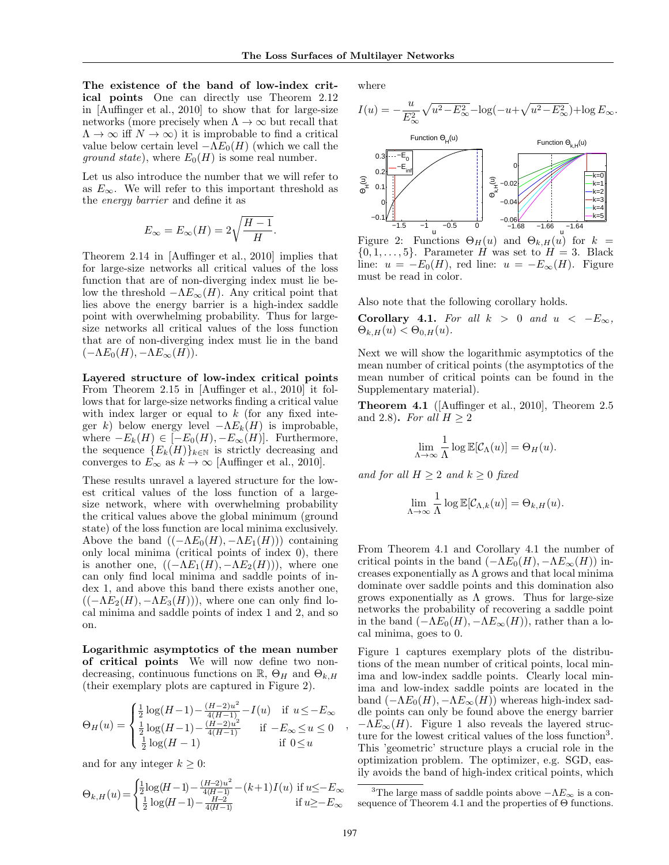The existence of the band of low-index critical points One can directly use Theorem 2.12 in [Auffinger et al., 2010] to show that for large-size networks (more precisely when  $\Lambda \to \infty$  but recall that  $\Lambda \to \infty$  iff  $N \to \infty$ ) it is improbable to find a critical value below certain level  $-\Lambda E_0(H)$  (which we call the *ground state*), where  $E_0(H)$  is some real number.

Let us also introduce the number that we will refer to as  $E_{\infty}$ . We will refer to this important threshold as the energy barrier and define it as

$$
E_{\infty} = E_{\infty}(H) = 2\sqrt{\frac{H-1}{H}}.
$$

Theorem 2.14 in [Auffinger et al., 2010] implies that for large-size networks all critical values of the loss function that are of non-diverging index must lie below the threshold  $-\Lambda E_{\infty}(H)$ . Any critical point that lies above the energy barrier is a high-index saddle point with overwhelming probability. Thus for largesize networks all critical values of the loss function that are of non-diverging index must lie in the band  $(-\Lambda E_0(H), -\Lambda E_{\infty}(H)).$ 

Layered structure of low-index critical points From Theorem 2.15 in [Auffinger et al., 2010] it follows that for large-size networks finding a critical value with index larger or equal to  $k$  (for any fixed integer k) below energy level  $-\Lambda E_k(H)$  is improbable, where  $-E_k(H) \in [-E_0(H), -E_\infty(H)]$ . Furthermore, the sequence  ${E_k(H)}_{k\in\mathbb{N}}$  is strictly decreasing and converges to  $\vec{E}_{\infty}$  as  $k \to \infty$  [Auffinger et al., 2010].

These results unravel a layered structure for the lowest critical values of the loss function of a largesize network, where with overwhelming probability the critical values above the global minimum (ground state) of the loss function are local minima exclusively. Above the band  $((-\Lambda E_0(H), -\Lambda E_1(H)))$  containing only local minima (critical points of index 0), there is another one,  $((-\Lambda E_1(H), -\Lambda E_2(H)))$ , where one can only find local minima and saddle points of index 1, and above this band there exists another one,  $((-\Lambda E_2(H), -\Lambda E_3(H))),$  where one can only find local minima and saddle points of index 1 and 2, and so on.

Logarithmic asymptotics of the mean number of critical points We will now define two nondecreasing, continuous functions on  $\mathbb{R}$ ,  $\Theta_H$  and  $\Theta_{k,H}$ (their exemplary plots are captured in Figure 2).

$$
\Theta_H(u) = \begin{cases} \frac{1}{2} \log(H-1) - \frac{(H-2)u^2}{4(H-1)} - I(u) & \text{if } u \le -E_{\infty} \\ \frac{1}{2} \log(H-1) - \frac{(H-2)u^2}{4(H-1)} & \text{if } -E_{\infty} \le u \le 0 \\ \frac{1}{2} \log(H-1) & \text{if } 0 \le u \end{cases}
$$

and for any integer  $k \geq 0$ :

$$
\Theta_{k,H}(u) = \begin{cases} \frac{1}{2}\log(H-1) - \frac{(H-2)u^2}{4(H-1)} - (k+1)I(u) & \text{if } u \leq -E_{\infty} \\ \frac{1}{2}\log(H-1) - \frac{H-2}{4(H-1)} & \text{if } u \geq -E_{\infty} \end{cases}
$$

where



Figure 2: Functions  $\Theta_H(u)$  and  $\Theta_{k,H}(u)$  for  $k =$  $\{0, 1, \ldots, 5\}$ . Parameter H was set to  $H = 3$ . Black line:  $u = -E_0(H)$ , red line:  $u = -E_\infty(H)$ . Figure must be read in color.

Also note that the following corollary holds.

Corollary 4.1. For all  $k > 0$  and  $u < -E_{\infty}$ ,  $\Theta_{k,H}(u) < \Theta_{0,H}(u)$ .

Next we will show the logarithmic asymptotics of the mean number of critical points (the asymptotics of the mean number of critical points can be found in the Supplementary material).

Theorem 4.1 ([Auffinger et al., 2010], Theorem 2.5 and 2.8). For all  $H > 2$ 

$$
\lim_{\Lambda \to \infty} \frac{1}{\Lambda} \log \mathbb{E}[\mathcal{C}_{\Lambda}(u)] = \Theta_H(u).
$$

and for all  $H \geq 2$  and  $k \geq 0$  fixed

$$
\lim_{\Lambda \to \infty} \frac{1}{\Lambda} \log \mathbb{E}[\mathcal{C}_{\Lambda,k}(u)] = \Theta_{k,H}(u).
$$

From Theorem 4.1 and Corollary 4.1 the number of critical points in the band  $(-\Lambda E_0(H), -\Lambda E_\infty(H))$  increases exponentially as  $\Lambda$  grows and that local minima dominate over saddle points and this domination also grows exponentially as  $\Lambda$  grows. Thus for large-size networks the probability of recovering a saddle point in the band  $(-\Lambda E_0(H), -\Lambda E_\infty(H))$ , rather than a local minima, goes to 0.

Figure 1 captures exemplary plots of the distributions of the mean number of critical points, local minima and low-index saddle points. Clearly local minima and low-index saddle points are located in the band  $(-\Lambda E_0(H), -\Lambda E_\infty(H))$  whereas high-index saddle points can only be found above the energy barrier  $-\Lambda E_{\infty}(H)$ . Figure 1 also reveals the layered structure for the lowest critical values of the loss function<sup>3</sup>. This 'geometric' structure plays a crucial role in the optimization problem. The optimizer, e.g. SGD, easily avoids the band of high-index critical points, which

,

<sup>&</sup>lt;sup>3</sup>The large mass of saddle points above  $-\Lambda E_{\infty}$  is a consequence of Theorem 4.1 and the properties of Θ functions.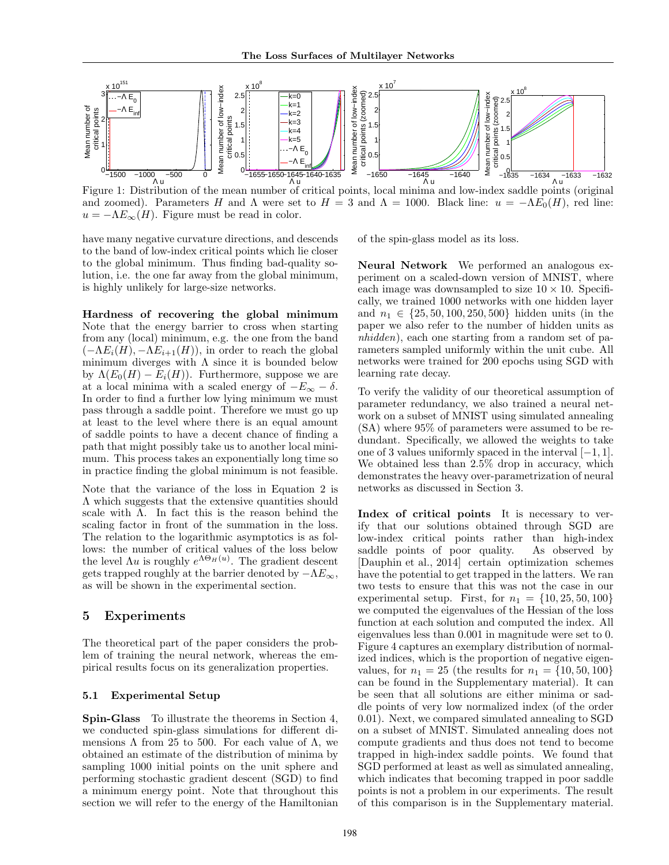

Figure 1: Distribution of the mean number of critical points, local minima and low-index saddle points (original and zoomed). Parameters H and  $\Lambda$  were set to  $H = 3$  and  $\Lambda = 1000$ . Black line:  $u = -\Lambda E_0(H)$ , red line:  $u = -\Lambda E_{\infty}(H)$ . Figure must be read in color.

have many negative curvature directions, and descends to the band of low-index critical points which lie closer to the global minimum. Thus finding bad-quality solution, i.e. the one far away from the global minimum, is highly unlikely for large-size networks.

Hardness of recovering the global minimum Note that the energy barrier to cross when starting from any (local) minimum, e.g. the one from the band  $(-\Lambda E_i(H), -\Lambda E_{i+1}(H))$ , in order to reach the global minimum diverges with  $\Lambda$  since it is bounded below by  $\Lambda(E_0(H) - E_i(H))$ . Furthermore, suppose we are at a local minima with a scaled energy of  $-E_{\infty} - \delta$ . In order to find a further low lying minimum we must pass through a saddle point. Therefore we must go up at least to the level where there is an equal amount of saddle points to have a decent chance of finding a path that might possibly take us to another local minimum. This process takes an exponentially long time so in practice finding the global minimum is not feasible.

Note that the variance of the loss in Equation 2 is Λ which suggests that the extensive quantities should scale with  $\Lambda$ . In fact this is the reason behind the scaling factor in front of the summation in the loss. The relation to the logarithmic asymptotics is as follows: the number of critical values of the loss below the level  $\Lambda u$  is roughly  $e^{\Lambda \Theta_H(u)}$ . The gradient descent gets trapped roughly at the barrier denoted by  $-\Lambda E_{\infty}$ , as will be shown in the experimental section.

### 5 Experiments

The theoretical part of the paper considers the problem of training the neural network, whereas the empirical results focus on its generalization properties.

### 5.1 Experimental Setup

Spin-Glass To illustrate the theorems in Section 4, we conducted spin-glass simulations for different dimensions  $\Lambda$  from 25 to 500. For each value of  $\Lambda$ , we obtained an estimate of the distribution of minima by sampling 1000 initial points on the unit sphere and performing stochastic gradient descent (SGD) to find a minimum energy point. Note that throughout this section we will refer to the energy of the Hamiltonian

of the spin-glass model as its loss.

Neural Network We performed an analogous experiment on a scaled-down version of MNIST, where each image was downsampled to size  $10 \times 10$ . Specifically, we trained 1000 networks with one hidden layer and  $n_1 \in \{25, 50, 100, 250, 500\}$  hidden units (in the paper we also refer to the number of hidden units as nhidden), each one starting from a random set of parameters sampled uniformly within the unit cube. All networks were trained for 200 epochs using SGD with learning rate decay.

To verify the validity of our theoretical assumption of parameter redundancy, we also trained a neural network on a subset of MNIST using simulated annealing (SA) where 95% of parameters were assumed to be redundant. Specifically, we allowed the weights to take one of 3 values uniformly spaced in the interval [−1, 1]. We obtained less than 2.5% drop in accuracy, which demonstrates the heavy over-parametrization of neural networks as discussed in Section 3.

Index of critical points It is necessary to verify that our solutions obtained through SGD are low-index critical points rather than high-index saddle points of poor quality. As observed by [Dauphin et al., 2014] certain optimization schemes have the potential to get trapped in the latters. We ran two tests to ensure that this was not the case in our experimental setup. First, for  $n_1 = \{10, 25, 50, 100\}$ we computed the eigenvalues of the Hessian of the loss function at each solution and computed the index. All eigenvalues less than 0.001 in magnitude were set to 0. Figure 4 captures an exemplary distribution of normalized indices, which is the proportion of negative eigenvalues, for  $n_1 = 25$  (the results for  $n_1 = \{10, 50, 100\}$ ) can be found in the Supplementary material). It can be seen that all solutions are either minima or saddle points of very low normalized index (of the order 0.01). Next, we compared simulated annealing to SGD on a subset of MNIST. Simulated annealing does not compute gradients and thus does not tend to become trapped in high-index saddle points. We found that SGD performed at least as well as simulated annealing, which indicates that becoming trapped in poor saddle points is not a problem in our experiments. The result of this comparison is in the Supplementary material.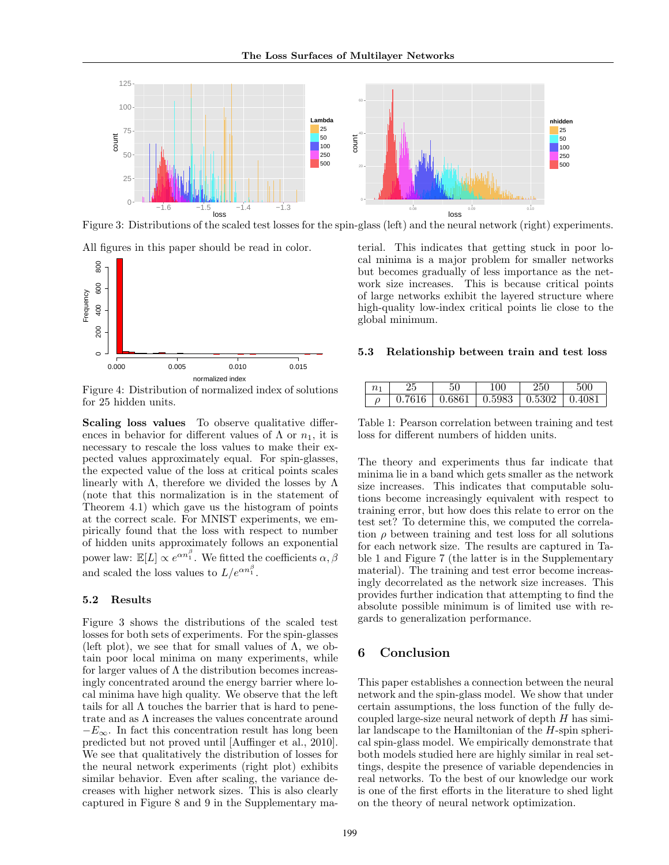

Figure 3: Distributions of the scaled test losses for the spin-glass (left) and the neural network (right) experiments.





Figure 4: Distribution of normalized index of solutions for 25 hidden units.

Scaling loss values To observe qualitative differences in behavior for different values of  $\Lambda$  or  $n_1$ , it is necessary to rescale the loss values to make their expected values approximately equal. For spin-glasses, the expected value of the loss at critical points scales linearly with  $\Lambda$ , therefore we divided the losses by  $\Lambda$ (note that this normalization is in the statement of Theorem 4.1) which gave us the histogram of points at the correct scale. For MNIST experiments, we empirically found that the loss with respect to number of hidden units approximately follows an exponential power law:  $\mathbb{E}[L] \propto e^{\alpha n_1^{\beta}}$ . We fitted the coefficients  $\alpha, \beta$ and scaled the loss values to  $L/e^{\alpha n_1^{\beta}}$ .

#### 5.2 Results

Figure 3 shows the distributions of the scaled test losses for both sets of experiments. For the spin-glasses (left plot), we see that for small values of  $\Lambda$ , we obtain poor local minima on many experiments, while for larger values of  $\Lambda$  the distribution becomes increasingly concentrated around the energy barrier where local minima have high quality. We observe that the left tails for all Λ touches the barrier that is hard to penetrate and as  $\Lambda$  increases the values concentrate around  $-E_{\infty}$ . In fact this concentration result has long been predicted but not proved until [Auffinger et al., 2010]. We see that qualitatively the distribution of losses for the neural network experiments (right plot) exhibits similar behavior. Even after scaling, the variance decreases with higher network sizes. This is also clearly captured in Figure 8 and 9 in the Supplementary ma-

terial. This indicates that getting stuck in poor local minima is a major problem for smaller networks but becomes gradually of less importance as the network size increases. This is because critical points of large networks exhibit the layered structure where high-quality low-index critical points lie close to the global minimum.

#### 5.3 Relationship between train and test loss

| $n_{\rm ^1}$ |        |        |                                          |  |
|--------------|--------|--------|------------------------------------------|--|
|              | 0.7616 | 0.6861 | $\vert 0.5983 \vert 0.5302 \vert 0.4081$ |  |

Table 1: Pearson correlation between training and test loss for different numbers of hidden units.

The theory and experiments thus far indicate that minima lie in a band which gets smaller as the network size increases. This indicates that computable solutions become increasingly equivalent with respect to training error, but how does this relate to error on the test set? To determine this, we computed the correlation  $\rho$  between training and test loss for all solutions for each network size. The results are captured in Table 1 and Figure 7 (the latter is in the Supplementary material). The training and test error become increasingly decorrelated as the network size increases. This provides further indication that attempting to find the absolute possible minimum is of limited use with regards to generalization performance.

### 6 Conclusion

This paper establishes a connection between the neural network and the spin-glass model. We show that under certain assumptions, the loss function of the fully decoupled large-size neural network of depth  $H$  has similar landscape to the Hamiltonian of the H-spin spherical spin-glass model. We empirically demonstrate that both models studied here are highly similar in real settings, despite the presence of variable dependencies in real networks. To the best of our knowledge our work is one of the first efforts in the literature to shed light on the theory of neural network optimization.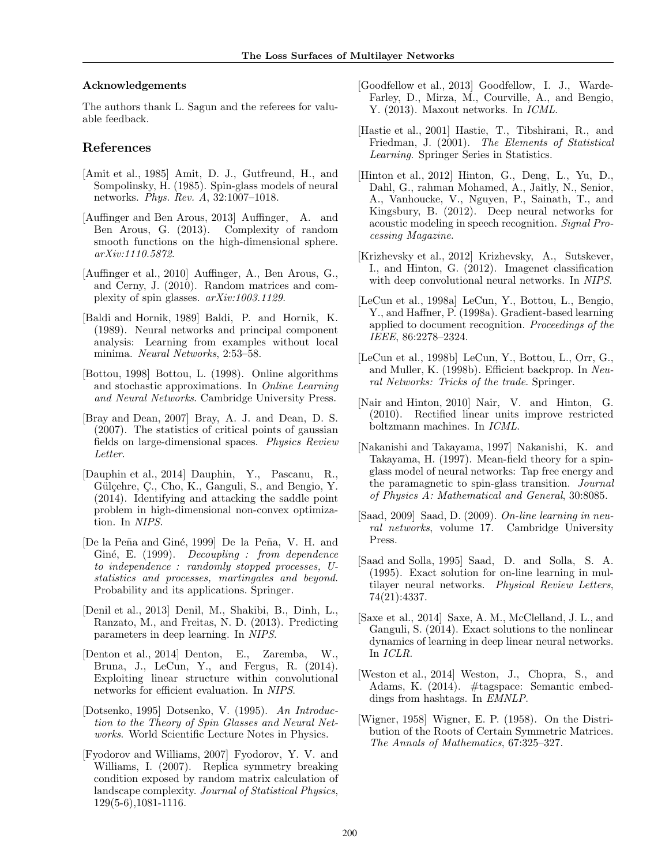#### Acknowledgements

The authors thank L. Sagun and the referees for valuable feedback.

### References

- [Amit et al., 1985] Amit, D. J., Gutfreund, H., and Sompolinsky, H. (1985). Spin-glass models of neural networks. Phys. Rev. A, 32:1007–1018.
- [Auffinger and Ben Arous, 2013] Auffinger, A. and Ben Arous, G. (2013). Complexity of random smooth functions on the high-dimensional sphere. arXiv:1110.5872.
- [Auffinger et al., 2010] Auffinger, A., Ben Arous, G., and Cerny, J. (2010). Random matrices and complexity of spin glasses. arXiv:1003.1129.
- [Baldi and Hornik, 1989] Baldi, P. and Hornik, K. (1989). Neural networks and principal component analysis: Learning from examples without local minima. Neural Networks, 2:53–58.
- [Bottou, 1998] Bottou, L. (1998). Online algorithms and stochastic approximations. In Online Learning and Neural Networks. Cambridge University Press.
- [Bray and Dean, 2007] Bray, A. J. and Dean, D. S. (2007). The statistics of critical points of gaussian fields on large-dimensional spaces. Physics Review Letter.
- [Dauphin et al., 2014] Dauphin, Y., Pascanu, R., Gülçehre, Ç., Cho, K., Ganguli, S., and Bengio, Y. (2014). Identifying and attacking the saddle point problem in high-dimensional non-convex optimization. In NIPS.
- [De la Peña and Giné, 1999] De la Peña, V. H. and Giné, E. (1999). Decoupling : from dependence to independence : randomly stopped processes, Ustatistics and processes, martingales and beyond. Probability and its applications. Springer.
- [Denil et al., 2013] Denil, M., Shakibi, B., Dinh, L., Ranzato, M., and Freitas, N. D. (2013). Predicting parameters in deep learning. In NIPS.
- [Denton et al., 2014] Denton, E., Zaremba, W., Bruna, J., LeCun, Y., and Fergus, R. (2014). Exploiting linear structure within convolutional networks for efficient evaluation. In NIPS.
- [Dotsenko, 1995] Dotsenko, V. (1995). An Introduction to the Theory of Spin Glasses and Neural Networks. World Scientific Lecture Notes in Physics.
- [Fyodorov and Williams, 2007] Fyodorov, Y. V. and Williams, I. (2007). Replica symmetry breaking condition exposed by random matrix calculation of landscape complexity. Journal of Statistical Physics, 129(5-6),1081-1116.
- [Goodfellow et al., 2013] Goodfellow, I. J., Warde-Farley, D., Mirza, M., Courville, A., and Bengio, Y. (2013). Maxout networks. In ICML.
- [Hastie et al., 2001] Hastie, T., Tibshirani, R., and Friedman, J. (2001). The Elements of Statistical Learning. Springer Series in Statistics.
- [Hinton et al., 2012] Hinton, G., Deng, L., Yu, D., Dahl, G., rahman Mohamed, A., Jaitly, N., Senior, A., Vanhoucke, V., Nguyen, P., Sainath, T., and Kingsbury, B. (2012). Deep neural networks for acoustic modeling in speech recognition. Signal Processing Magazine.
- [Krizhevsky et al., 2012] Krizhevsky, A., Sutskever, I., and Hinton, G. (2012). Imagenet classification with deep convolutional neural networks. In NIPS.
- [LeCun et al., 1998a] LeCun, Y., Bottou, L., Bengio, Y., and Haffner, P. (1998a). Gradient-based learning applied to document recognition. Proceedings of the IEEE, 86:2278–2324.
- [LeCun et al., 1998b] LeCun, Y., Bottou, L., Orr, G., and Muller, K. (1998b). Efficient backprop. In Neural Networks: Tricks of the trade. Springer.
- [Nair and Hinton, 2010] Nair, V. and Hinton, G. (2010). Rectified linear units improve restricted boltzmann machines. In ICML.
- [Nakanishi and Takayama, 1997] Nakanishi, K. and Takayama, H. (1997). Mean-field theory for a spinglass model of neural networks: Tap free energy and the paramagnetic to spin-glass transition. Journal of Physics A: Mathematical and General, 30:8085.
- [Saad, 2009] Saad, D. (2009). On-line learning in neural networks, volume 17. Cambridge University Press.
- [Saad and Solla, 1995] Saad, D. and Solla, S. A. (1995). Exact solution for on-line learning in multilayer neural networks. Physical Review Letters, 74(21):4337.
- [Saxe et al., 2014] Saxe, A. M., McClelland, J. L., and Ganguli, S. (2014). Exact solutions to the nonlinear dynamics of learning in deep linear neural networks. In ICLR.
- [Weston et al., 2014] Weston, J., Chopra, S., and Adams, K. (2014). #tagspace: Semantic embeddings from hashtags. In EMNLP.
- [Wigner, 1958] Wigner, E. P. (1958). On the Distribution of the Roots of Certain Symmetric Matrices. The Annals of Mathematics, 67:325–327.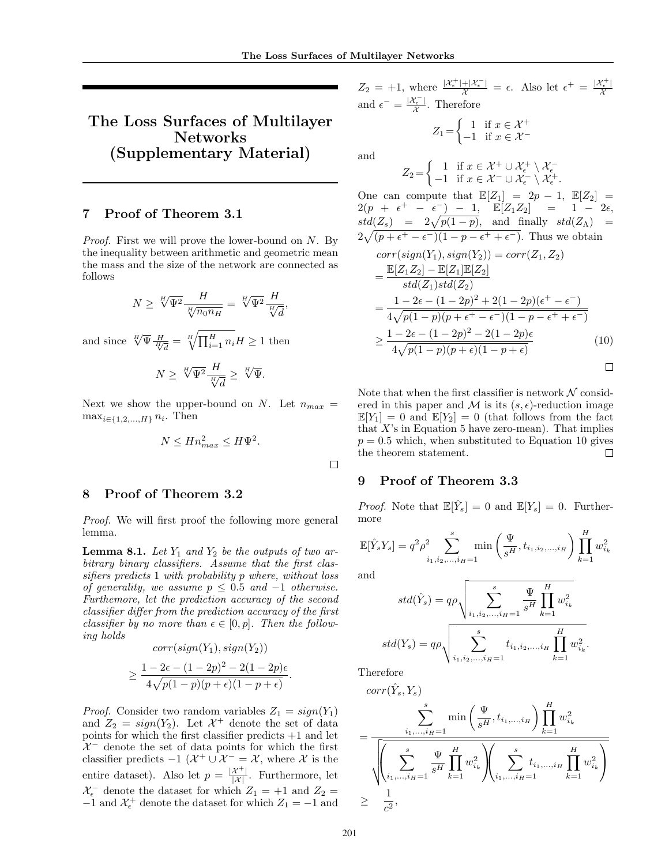# The Loss Surfaces of Multilayer Networks (Supplementary Material)

### 7 Proof of Theorem 3.1

Proof. First we will prove the lower-bound on N. By the inequality between arithmetic and geometric mean the mass and the size of the network are connected as follows

$$
N \geq \sqrt[H]{\Psi^2} \frac{H}{\sqrt[H]{n_0 n_H}} = \sqrt[H]{\Psi^2} \frac{H}{\sqrt[H]{d}},
$$
  

$$
\frac{H}{\sqrt[H]{d}} = \frac{H}{\sqrt[H]{\Pi^H}} \frac{H}{n_0} = \frac{H}{\sqrt[H]{d}}.
$$

and since  $\sqrt[H]{\Psi \frac{H}{\sqrt[H]{d}}} = \sqrt[H]{\prod_{i=1}^H n_i} H \ge 1$  then

$$
N \ge \sqrt[H]{\Psi^2} \frac{H}{\sqrt[H]{d}} \ge \sqrt[H]{\Psi}.
$$

Next we show the upper-bound on N. Let  $n_{max}$  =  $\max_{i\in\{1,2,\ldots,H\}} n_i$ . Then

$$
N \leq H n_{max}^2 \leq H \Psi^2.
$$

## 8 Proof of Theorem 3.2

Proof. We will first proof the following more general lemma.

**Lemma 8.1.** Let  $Y_1$  and  $Y_2$  be the outputs of two arbitrary binary classifiers. Assume that the first classifiers predicts 1 with probability p where, without loss of generality, we assume  $p \leq 0.5$  and  $-1$  otherwise. Furthemore, let the prediction accuracy of the second classifier differ from the prediction accuracy of the first classifier by no more than  $\epsilon \in [0, p]$ . Then the following holds  $corr(sign(Y_1), sign(Y_2))$ 

$$
\geq \frac{1-2\epsilon-(1-2p)^2-2(1-2p)\epsilon}{4\sqrt{p(1-p)(p+\epsilon)(1-p+\epsilon)}}.
$$

*Proof.* Consider two random variables  $Z_1 = sign(Y_1)$ and  $Z_2 = sign(Y_2)$ . Let  $\mathcal{X}^+$  denote the set of data points for which the first classifier predicts  $+1$  and let  $\mathcal{X}^-$  denote the set of data points for which the first classifier predicts  $-1$  ( $\mathcal{X}^+ \cup \mathcal{X}^- = \mathcal{X}$ , where  $\mathcal X$  is the entire dataset). Also let  $p = \frac{|\mathcal{X}^+|}{|\mathcal{X}|}$ . Furthermore, let  $\mathcal{X}_{\epsilon}^-$  denote the dataset for which  $Z_1 = +1$  and  $Z_2 =$  $-1$  and  $\mathcal{X}_{\epsilon}^{+}$  denote the dataset for which  $Z_{1} = -1$  and  $Z_2 = +1$ , where  $\frac{|X_{\epsilon}^+|+|X_{\epsilon}^-|}{\chi} = \epsilon$ . Also let  $\epsilon^+ = \frac{|X_{\epsilon}^+|}{\chi}$  $\mathcal{X}_{i}^{(n)}$ and  $\epsilon^- = \frac{|\mathcal{X}_{\epsilon}^-|}{\mathcal{X}_{\epsilon}^-}$  $\frac{\mathfrak{r}_{\epsilon}+1}{\mathcal{X}}$ . Therefore

$$
Z_1 = \begin{cases} 1 & \text{if } x \in \mathcal{X}^+ \\ -1 & \text{if } x \in \mathcal{X}^- \end{cases}
$$

and

$$
Z_2 = \begin{cases} 1 & \text{if } x \in \mathcal{X}^+ \cup \mathcal{X}^+_{\epsilon} \setminus \mathcal{X}^-_{\epsilon} \\ -1 & \text{if } x \in \mathcal{X}^- \cup \mathcal{X}^-_{\epsilon} \setminus \mathcal{X}^+_{\epsilon} \end{cases}
$$

One can compute that  $\mathbb{E}[Z_1] = 2p - 1$ ,  $\mathbb{E}[Z_2] =$  $2(p + \epsilon^+ - \epsilon^-) - 1$ ,  $\mathbb{E}[Z_1 Z_2] = 1 - 2\epsilon$ ,  $std(Z_s) = 2\sqrt{p(1-p)}, \text{ and finally } std(Z_\Lambda) =$  $2\sqrt{(p+\epsilon^+-\epsilon^-)(1-p-\epsilon^++\epsilon^-)}$ . Thus we obtain

.

$$
corr(sign(Y_1), sign(Y_2)) = corr(Z_1, Z_2)
$$
  
= 
$$
\frac{\mathbb{E}[Z_1 Z_2] - \mathbb{E}[Z_1] \mathbb{E}[Z_2]}{std(Z_1) std(Z_2)}
$$
  
= 
$$
\frac{1 - 2\epsilon - (1 - 2p)^2 + 2(1 - 2p)(\epsilon^+ - \epsilon^-)}{4\sqrt{p(1 - p)(p + \epsilon^+ - \epsilon^-)(1 - p - \epsilon^+ + \epsilon^-)}}
$$
  

$$
\geq \frac{1 - 2\epsilon - (1 - 2p)^2 - 2(1 - 2p)\epsilon}{4\sqrt{p(1 - p)(p + \epsilon)(1 - p + \epsilon)}}
$$
(10)

Note that when the first classifier is network  $N$  considered in this paper and M is its  $(s, \epsilon)$ -reduction image  $\mathbb{E}[Y_1] = 0$  and  $\mathbb{E}[Y_2] = 0$  (that follows from the fact that  $X$ 's in Equation 5 have zero-mean). That implies  $p = 0.5$  which, when substituted to Equation 10 gives the theorem statement.  $\Box$ 

### 9 Proof of Theorem 3.3

*Proof.* Note that  $\mathbb{E}[\hat{Y}_s] = 0$  and  $\mathbb{E}[Y_s] = 0$ . Furthermore

$$
\mathbb{E}[\hat{Y}_s Y_s] = q^2 \rho^2 \sum_{i_1, i_2, ..., i_H=1}^s \min\left(\frac{\Psi}{s^H}, t_{i_1, i_2, ..., i_H}\right) \prod_{k=1}^H w_{i_k}^2
$$

and

 $\Box$ 

$$
std(\hat{Y}_s) = q\rho \sqrt{\sum_{i_1, i_2, ..., i_H=1}^s \frac{\Psi}{s^H} \prod_{k=1}^H w_{i_k}^2}
$$

$$
std(Y_s) = q\rho \sqrt{\sum_{i_1, i_2, ..., i_H=1}^s t_{i_1, i_2, ..., i_H} \prod_{k=1}^H w_{i_k}^2}.
$$

Therefore

$$
corr(\hat{Y}_s, Y_s)
$$
\n
$$
= \frac{\sum_{i_1, \dots, i_H=1}^s \min\left(\frac{\Psi}{s^H}, t_{i_1, \dots, i_H}\right) \prod_{k=1}^H w_{i_k}^2}{\sqrt{\left(\sum_{i_1, \dots, i_H=1}^s \frac{\Psi}{s^H} \prod_{k=1}^H w_{i_k}^2\right) \left(\sum_{i_1, \dots, i_H=1}^s t_{i_1, \dots, i_H} \prod_{k=1}^H w_{i_k}^2\right)}}
$$
\n
$$
\geq \frac{1}{c^2},
$$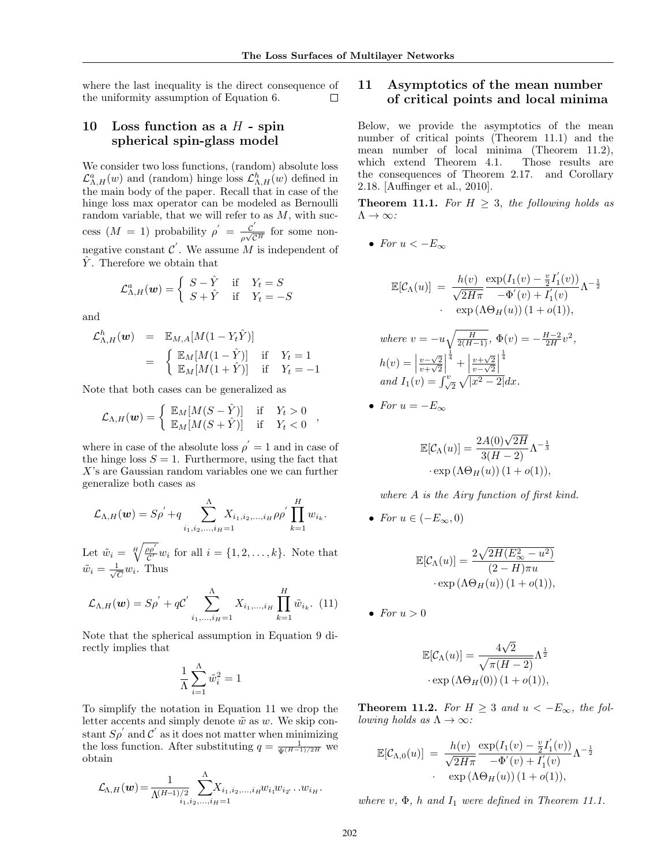where the last inequality is the direct consequence of the uniformity assumption of Equation 6.  $\Box$ 

# 10 Loss function as a  $H$  - spin spherical spin-glass model

We consider two loss functions, (random) absolute loss  $\mathcal{L}_{\Lambda,H}^a(w)$  and (random) hinge loss  $\mathcal{L}_{\Lambda,H}^h(w)$  defined in the main body of the paper. Recall that in case of the hinge loss max operator can be modeled as Bernoulli random variable, that we will refer to as  $M$ , with success  $(M = 1)$  probability  $\rho' = \frac{c'}{\sqrt{c}}$  $\frac{C}{\rho\sqrt{C^H}}$  for some nonnegative constant  $\mathcal{C}'$ . We assume M is independent of  $\hat{Y}$ . Therefore we obtain that

$$
\mathcal{L}^{a}_{\Lambda,H}(\boldsymbol{w}) = \begin{cases} S - \hat{Y} & \text{if } Y_t = S \\ S + \hat{Y} & \text{if } Y_t = -S \end{cases}
$$

and

$$
\mathcal{L}_{\Lambda,H}^{h}(\boldsymbol{w}) = \mathbb{E}_{M,A}[M(1 - Y_t \hat{Y})]
$$
  
= 
$$
\begin{cases} \mathbb{E}_{M}[M(1 - \hat{Y})] & \text{if } Y_t = 1 \\ \mathbb{E}_{M}[M(1 + \hat{Y})] & \text{if } Y_t = -1 \end{cases}
$$

Note that both cases can be generalized as

$$
\mathcal{L}_{\Lambda,H}(\boldsymbol{w}) = \begin{cases} \mathbb{E}_M[M(S - \hat{Y})] & \text{if } Y_t > 0 \\ \mathbb{E}_M[M(S + \hat{Y})] & \text{if } Y_t < 0 \end{cases},
$$

where in case of the absolute loss  $\rho' = 1$  and in case of the hinge loss  $S = 1$ . Furthermore, using the fact that X's are Gaussian random variables one we can further generalize both cases as

$$
\mathcal{L}_{\Lambda,H}(\mathbf{w}) = S \rho^{'} + q \sum_{i_1,i_2,...,i_H=1}^{\Lambda} X_{i_1,i_2,...,i_H} \rho \rho^{'} \prod_{k=1}^{H} w_{i_k}.
$$

Let  $\tilde{w}_i = \sqrt[H]{\frac{\rho \rho'}{c'}}$  $\frac{\partial \rho}{\partial x'} w_i$  for all  $i = \{1, 2, \ldots, k\}$ . Note that  $\tilde{w}_i = \frac{1}{\sqrt{2}}$  $\frac{1}{\overline{C}}w_i$ . Thus

$$
\mathcal{L}_{\Lambda,H}(\mathbf{w}) = S \rho^{'} + q C^{'} \sum_{i_1,...,i_H=1}^{\Lambda} X_{i_1,...,i_H} \prod_{k=1}^{H} \tilde{w}_{i_k}.
$$
 (11)

Note that the spherical assumption in Equation 9 directly implies that

$$
\frac{1}{\Lambda}\sum_{i=1}^{\Lambda}\tilde{w}_i^2=1
$$

To simplify the notation in Equation 11 we drop the letter accents and simply denote  $\tilde{w}$  as w. We skip constant  $S_{\rho}$  and  $\mathcal{C}'$  as it does not matter when minimizing the loss function. After substituting  $q = \frac{1}{\Psi^{(H-1)/2H}}$  we obtain

$$
\mathcal{L}_{\Lambda,H}(\boldsymbol{w}) = \frac{1}{\Lambda^{(H-1)/2}} \sum_{i_1,i_2,\ldots,i_H=1}^{\Lambda} X_{i_1,i_2,\ldots,i_H} w_{i_1} w_{i_2} \ldots w_{i_H}.
$$

# 11 Asymptotics of the mean number of critical points and local minima

Below, we provide the asymptotics of the mean number of critical points (Theorem 11.1) and the mean number of local minima (Theorem 11.2), which extend Theorem 4.1. Those results are the consequences of Theorem 2.17. and Corollary 2.18. [Auffinger et al., 2010].

**Theorem 11.1.** For  $H \geq 3$ , the following holds as  $\Lambda \to \infty$ :

• For 
$$
u < -E_{\infty}
$$

$$
\mathbb{E}[\mathcal{C}_{\Lambda}(u)] = \frac{h(v)}{\sqrt{2H\pi}} \frac{\exp(I_1(v) - \frac{v}{2}I_1'(v))}{-\Phi'(v) + I_1'(v)} \Lambda^{-\frac{1}{2}}
$$
  
 
$$
\cdot \exp(\Lambda \Theta_H(u)) (1 + o(1)),
$$
  
where  $v = -u\sqrt{\frac{H}{2(H-1)}}, \Phi(v) = -\frac{H-2}{2H}v^2,$   

$$
h(v) = \left|\frac{v-\sqrt{2}}{v+\sqrt{2}}\right|^{\frac{1}{4}} + \left|\frac{v+\sqrt{2}}{v-\sqrt{2}}\right|^{\frac{1}{4}}
$$
  
and  $I_1(v) = \int_{\sqrt{2}}^v \sqrt{|x^2 - 2|} dx.$ 

• For 
$$
u = -E_{\infty}
$$

$$
\mathbb{E}[\mathcal{C}_{\Lambda}(u)] = \frac{2A(0)\sqrt{2H}}{3(H-2)}\Lambda^{-\frac{1}{3}}
$$

$$
\cdot \exp(\Lambda \Theta_H(u)) (1 + o(1)),
$$

where A is the Airy function of first kind.

• For  $u \in (-E_{\infty}, 0)$ 

$$
\mathbb{E}[\mathcal{C}_{\Lambda}(u)] = \frac{2\sqrt{2H(E_{\infty}^2 - u^2)}}{(2 - H)\pi u} \cdot \exp(\Lambda \Theta_H(u)) (1 + o(1)),
$$

• For  $u > 0$ 

$$
\mathbb{E}[\mathcal{C}_{\Lambda}(u)] = \frac{4\sqrt{2}}{\sqrt{\pi(H-2)}} \Lambda^{\frac{1}{2}}
$$

$$
\cdot \exp(\Lambda \Theta_H(0)) (1 + o(1)),
$$

**Theorem 11.2.** For  $H \geq 3$  and  $u < -E_{\infty}$ , the fol*lowing holds as*  $\Lambda \to \infty$ :

$$
\mathbb{E}[\mathcal{C}_{\Lambda,0}(u)] = \frac{h(v)}{\sqrt{2H\pi}} \frac{\exp(I_1(v) - \frac{v}{2}I_1'(v))}{-\Phi'(v) + I_1'(v)} \Lambda^{-\frac{1}{2}}
$$
  
 
$$
\cdot \exp(\Lambda \Theta_H(u))(1 + o(1)),
$$

where  $v, \Phi, h$  and  $I_1$  were defined in Theorem 11.1.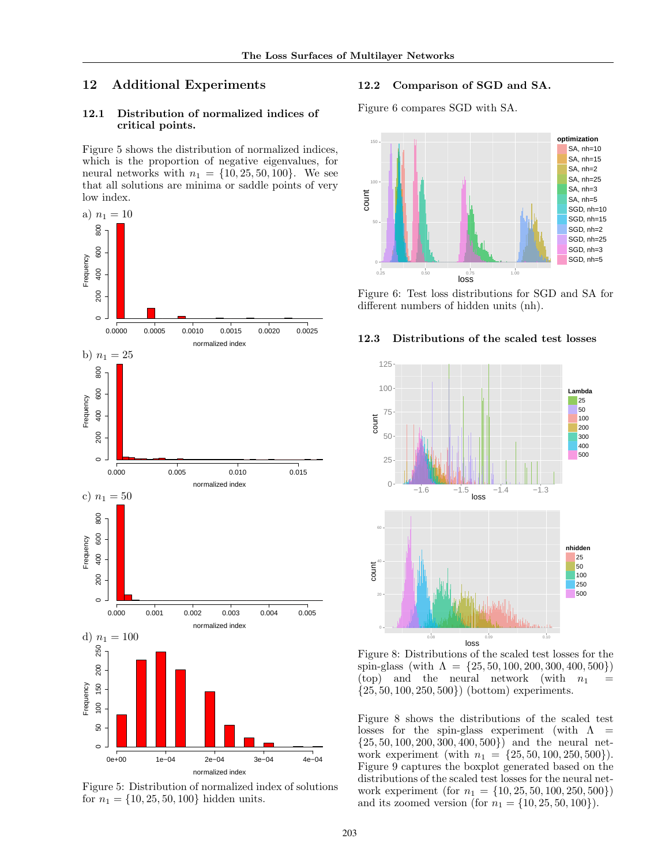# 12 Additional Experiments

### 12.1 Distribution of normalized indices of critical points.

Figure 5 shows the distribution of normalized indices, which is the proportion of negative eigenvalues, for neural networks with  $n_1 = \{10, 25, 50, 100\}$ . We see that all solutions are minima or saddle points of very low index.



Figure 5: Distribution of normalized index of solutions for  $n_1 = \{10, 25, 50, 100\}$  hidden units.

### 12.2 Comparison of SGD and SA.

Figure 6 compares SGD with SA.



Figure 6: Test loss distributions for SGD and SA for different numbers of hidden units (nh).

#### 12.3 Distributions of the scaled test losses



Figure 8: Distributions of the scaled test losses for the spin-glass (with  $\Lambda = \{25, 50, 100, 200, 300, 400, 500\}$ ) (top) and the neural network (with  $n_1$  $\{25, 50, 100, 250, 500\}$  (bottom) experiments.

Figure 8 shows the distributions of the scaled test losses for the spin-glass experiment (with  $\Lambda$  =  $\{25, 50, 100, 200, 300, 400, 500\}$  and the neural network experiment (with  $n_1 = \{25, 50, 100, 250, 500\}$ ). Figure 9 captures the boxplot generated based on the distributions of the scaled test losses for the neural network experiment (for  $n_1 = \{10, 25, 50, 100, 250, 500\}$ ) and its zoomed version (for  $n_1 = \{10, 25, 50, 100\}$ ).